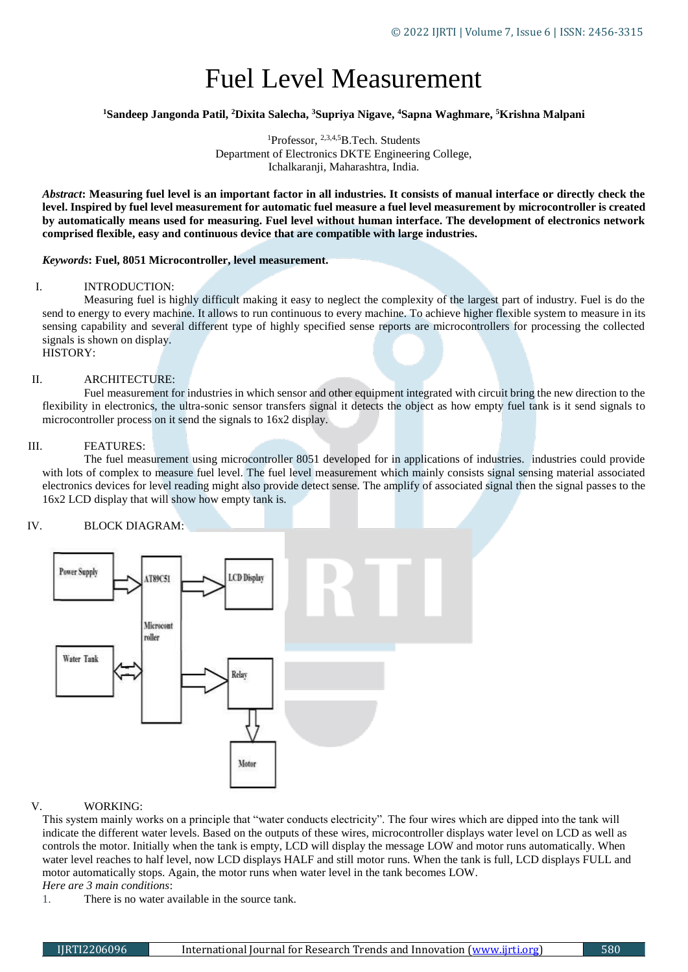# Fuel Level Measurement

## **<sup>1</sup>Sandeep Jangonda Patil, <sup>2</sup>Dixita Salecha, <sup>3</sup>Supriya Nigave, <sup>4</sup>Sapna Waghmare, <sup>5</sup>Krishna Malpani**

<sup>1</sup>Professor, <sup>2,3,4,5</sup>B.Tech. Students Department of Electronics DKTE Engineering College, Ichalkaranji, Maharashtra, India.

*Abstract***: Measuring fuel level is an important factor in all industries. It consists of manual interface or directly check the level. Inspired by fuel level measurement for automatic fuel measure a fuel level measurement by microcontroller is created by automatically means used for measuring. Fuel level without human interface. The development of electronics network comprised flexible, easy and continuous device that are compatible with large industries.**

### *Keywords***: Fuel, 8051 Microcontroller, level measurement.**

### I. INTRODUCTION:

Measuring fuel is highly difficult making it easy to neglect the complexity of the largest part of industry. Fuel is do the send to energy to every machine. It allows to run continuous to every machine. To achieve higher flexible system to measure in its sensing capability and several different type of highly specified sense reports are microcontrollers for processing the collected signals is shown on display.

# HISTORY:

### II. ARCHITECTURE:

Fuel measurement for industries in which sensor and other equipment integrated with circuit bring the new direction to the flexibility in electronics, the ultra-sonic sensor transfers signal it detects the object as how empty fuel tank is it send signals to microcontroller process on it send the signals to 16x2 display.

### III. FEATURES:

The fuel measurement using microcontroller 8051 developed for in applications of industries. industries could provide with lots of complex to measure fuel level. The fuel level measurement which mainly consists signal sensing material associated electronics devices for level reading might also provide detect sense. The amplify of associated signal then the signal passes to the 16x2 LCD display that will show how empty tank is.

### IV. BLOCK DIAGRAM:



### V. WORKING:

This system mainly works on a principle that "water conducts electricity". The four wires which are dipped into the tank will indicate the different water levels. Based on the outputs of these wires, microcontroller displays water level on LCD as well as controls the motor. Initially when the tank is empty, LCD will display the message LOW and motor runs automatically. When water level reaches to half level, now LCD displays HALF and still motor runs. When the tank is full, LCD displays FULL and motor automatically stops. Again, the motor runs when water level in the tank becomes LOW. *Here are 3 main conditions*:

1. There is no water available in the source tank.